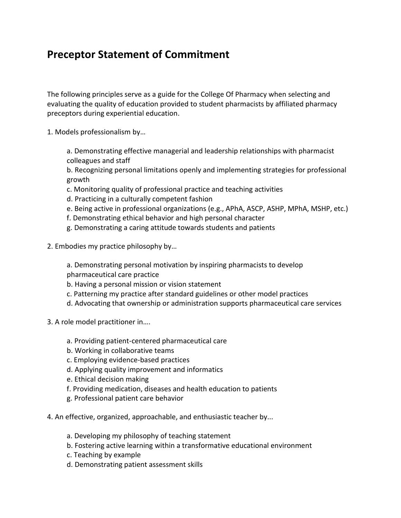## **Preceptor Statement of Commitment**

The following principles serve as a guide for the College Of Pharmacy when selecting and evaluating the quality of education provided to student pharmacists by affiliated pharmacy preceptors during experiential education.

1. Models professionalism by…

a. Demonstrating effective managerial and leadership relationships with pharmacist colleagues and staff

b. Recognizing personal limitations openly and implementing strategies for professional growth

- c. Monitoring quality of professional practice and teaching activities
- d. Practicing in a culturally competent fashion
- e. Being active in professional organizations (e.g., APhA, ASCP, ASHP, MPhA, MSHP, etc.)
- f. Demonstrating ethical behavior and high personal character
- g. Demonstrating a caring attitude towards students and patients
- 2. Embodies my practice philosophy by…

a. Demonstrating personal motivation by inspiring pharmacists to develop pharmaceutical care practice

b. Having a personal mission or vision statement

- c. Patterning my practice after standard guidelines or other model practices
- d. Advocating that ownership or administration supports pharmaceutical care services
- 3. A role model practitioner in….
	- a. Providing patient-centered pharmaceutical care
	- b. Working in collaborative teams
	- c. Employing evidence-based practices
	- d. Applying quality improvement and informatics
	- e. Ethical decision making
	- f. Providing medication, diseases and health education to patients
	- g. Professional patient care behavior
- 4. An effective, organized, approachable, and enthusiastic teacher by...
	- a. Developing my philosophy of teaching statement
	- b. Fostering active learning within a transformative educational environment
	- c. Teaching by example
	- d. Demonstrating patient assessment skills